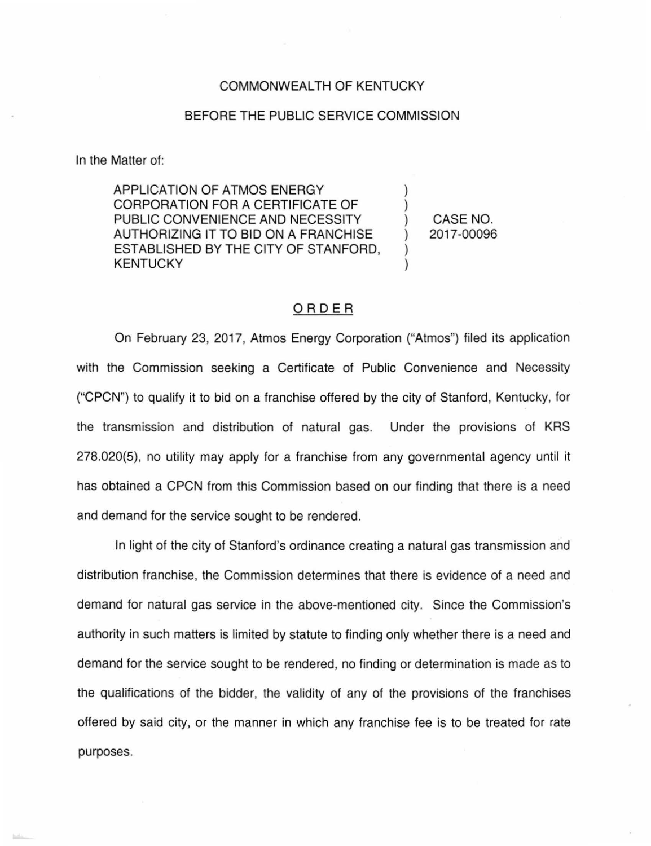## COMMONWEALTH OF KENTUCKY

## BEFORE THE PUBLIC SERVICE COMMISSION

In the Matter of:

APPLICATION OF ATMOS ENERGY CORPORATION FOR A CERTIFICATE OF PUBLIC CONVENIENCE AND NECESSITY AUTHORIZING IT TO BID ON A FRANCHISE ESTABLISHED BY THE CITY OF STANFORD, **KENTUCKY** 

) CASE NO. ) 20 17-00096

) )

) )

## ORDER

On February 23, 2017, Atmos Energy Corporation ("Atmos") filed its application with the Commission seeking a Certificate of Public Convenience and Necessity ("CPCN") to qualify it to bid on a franchise offered by the city of Stanford, Kentucky, for the transmission and distribution of natural gas. Under the provisions of KRS 278.020(5), no utility may apply for a franchise from any governmental agency until it has obtained a CPCN from this Commission based on our finding that there is a need and demand for the service sought to be rendered.

In light of the city of Stanford's ordinance creating a natural gas transmission and distribution franchise, the Commission determines that there is evidence of a need and demand for natural gas service in the above-mentioned city. Since the Commission's authority in such matters is limited by statute to finding only whether there is a need and demand for the service sought to be rendered, no finding or determination is made as to the qualifications of the bidder, the validity of any of the provisions of the franchises offered by said city, or the manner in which any franchise fee is to be treated for rate purposes.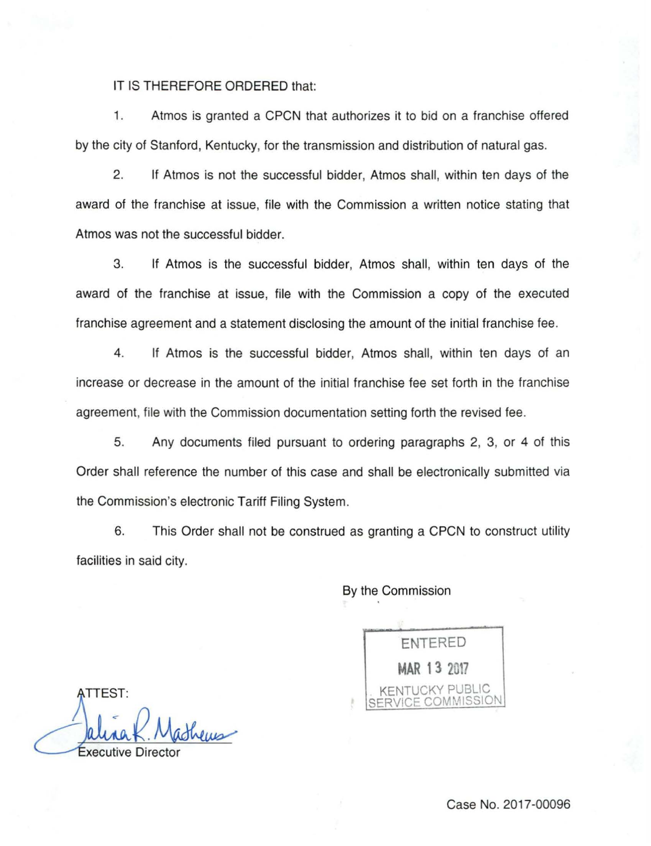## IT IS THEREFORE ORDERED that:

1. Atmos is granted a CPCN that authorizes it to bid on a franchise offered by the city of Stanford, Kentucky, for the transmission and distribution of natural gas.

2. If Atmos is not the successful bidder, Atmos shall, within ten days of the award of the franchise at issue, file with the Commission a written notice stating that Atmos was not the successful bidder.

3. If Atmos is the successful bidder, Atmos shall, within ten days of the award of the franchise at issue, file with the Commission a copy of the executed franchise agreement and a statement disclosing the amount of the initial franchise fee.

4. If Atmos is the successful bidder, Atmos shall, within ten days of an increase or decrease in the amount of the initial franchise fee set forth in the franchise agreement, file with the Commission documentation setting forth the revised fee.

5. Any documents filed pursuant to ordering paragraphs 2, 3, or 4 of this Order shall reference the number of this case and shall be electronically submitted via the Commission's electronic Tariff Filing System.

6. This Order shall not be construed as granting a CPCN to construct utility facilities in said city.

By the Commission

ENTERED **MAR 13 2017**  KENTUCKY PUBLIC SERVICE COMMISSION

**\TTEST:** 

xecutive Dire

Case No. 2017-00096